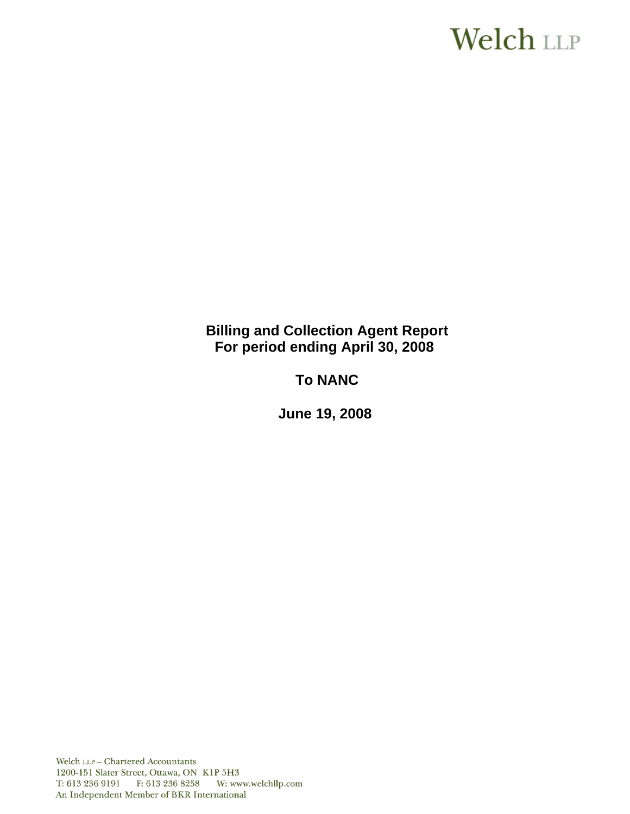# Welch LLP

**Billing and Collection Agent Report For period ending April 30, 2008**

**To NANC** 

 **June 19, 2008**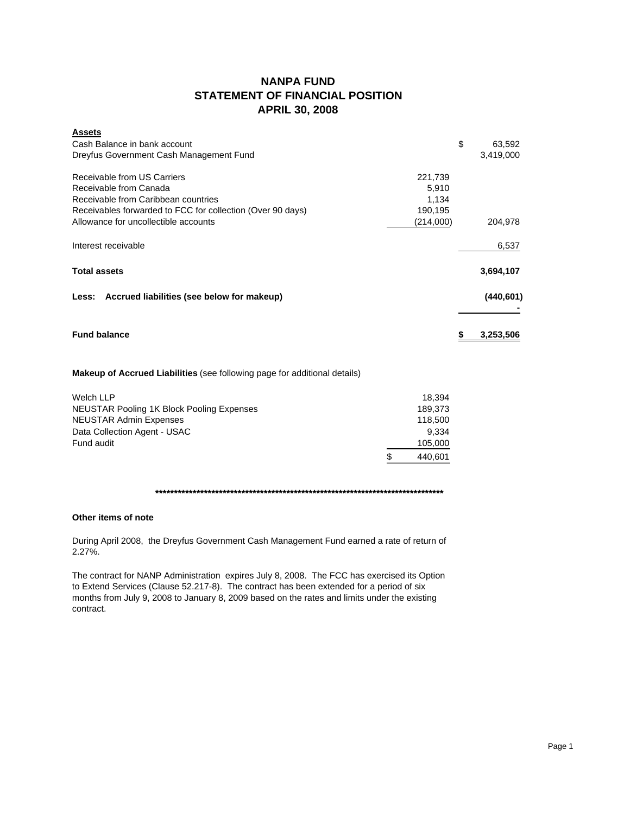## **NANPA FUND STATEMENT OF FINANCIAL POSITION APRIL 30, 2008**

| <b>Assets</b>                                              |           |            |
|------------------------------------------------------------|-----------|------------|
| Cash Balance in bank account                               | \$        | 63,592     |
| Dreyfus Government Cash Management Fund                    |           | 3,419,000  |
| Receivable from US Carriers                                | 221,739   |            |
| Receivable from Canada                                     | 5,910     |            |
| Receivable from Caribbean countries                        | 1.134     |            |
| Receivables forwarded to FCC for collection (Over 90 days) | 190,195   |            |
| Allowance for uncollectible accounts                       | (214,000) | 204,978    |
| Interest receivable                                        |           | 6,537      |
| <b>Total assets</b>                                        |           | 3,694,107  |
| Less: Accrued liabilities (see below for makeup)           |           | (440, 601) |
| <b>Fund balance</b>                                        |           | 3,253,506  |
|                                                            |           |            |

## **Makeup of Accrued Liabilities** (see following page for additional details)

| Welch LLP                                        | 18.394  |
|--------------------------------------------------|---------|
| <b>NEUSTAR Pooling 1K Block Pooling Expenses</b> | 189.373 |
| <b>NEUSTAR Admin Expenses</b>                    | 118.500 |
| Data Collection Agent - USAC                     | 9.334   |
| Fund audit                                       | 105,000 |
|                                                  | 440,601 |

### **\*\*\*\*\*\*\*\*\*\*\*\*\*\*\*\*\*\*\*\*\*\*\*\*\*\*\*\*\*\*\*\*\*\*\*\*\*\*\*\*\*\*\*\*\*\*\*\*\*\*\*\*\*\*\*\*\*\*\*\*\*\*\*\*\*\*\*\*\*\*\*\*\*\*\*\*\***

#### **Other items of note**

During April 2008, the Dreyfus Government Cash Management Fund earned a rate of return of 2.27%.

The contract for NANP Administration expires July 8, 2008. The FCC has exercised its Option to Extend Services (Clause 52.217-8). The contract has been extended for a period of six months from July 9, 2008 to January 8, 2009 based on the rates and limits under the existing contract.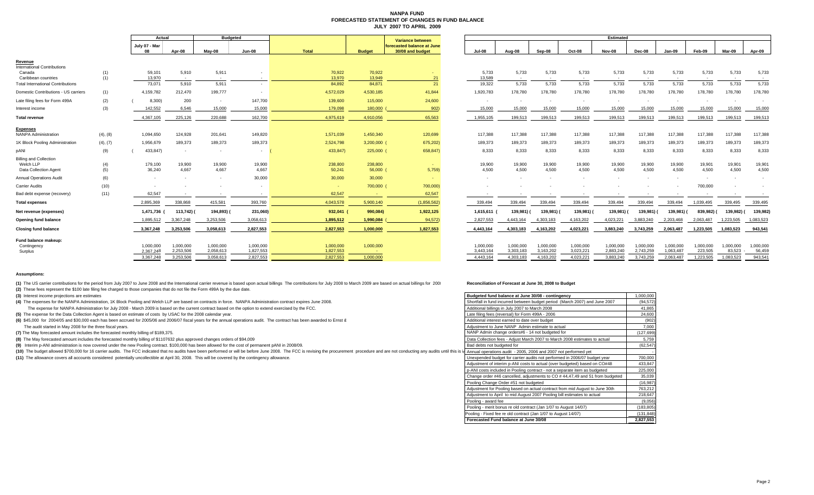#### **NANPA FUND FORECASTED STATEMENT OF CHANGES IN FUND BALANCEJULY 2007 TO APRIL 2009**

|                                              |            | <b>Budgeted</b><br>Actual |                 |                   |                 |                   | <b>Variance between</b> | Estimated                  |                 |                 |                 |                 |                 |                 |                 |                  |                 |                 |
|----------------------------------------------|------------|---------------------------|-----------------|-------------------|-----------------|-------------------|-------------------------|----------------------------|-----------------|-----------------|-----------------|-----------------|-----------------|-----------------|-----------------|------------------|-----------------|-----------------|
|                                              |            | July 07 - Mar             |                 |                   |                 |                   |                         | forecasted balance at June |                 |                 |                 |                 |                 |                 |                 |                  |                 |                 |
|                                              |            | 08                        | Apr-08          | May-08            | <b>Jun-08</b>   | <b>Total</b>      | <b>Budget</b>           | 30/08 and budget           | <b>Jul-08</b>   | Aug-08          | Sep-08          | Oct-08          | Nov-08          | Dec-08          | Jan-09          | Feb-09           | Mar-09          | Apr-09          |
| Revenue                                      |            |                           |                 |                   |                 |                   |                         |                            |                 |                 |                 |                 |                 |                 |                 |                  |                 |                 |
| <b>International Contributions</b><br>Canada | (1)        | 59,101                    | 5,910           | 5,911             |                 | 70,922            | 70,922                  |                            | 5,733           | 5,733           | 5,733           | 5,733           | 5,733           | 5,733           | 5,733           | 5,733            | 5,733           | 5,733           |
| Caribbean countries                          | (1)        | 13,970                    | $\sim$          | $\sim$            | $\sim$          | 13,970            | 13.949                  | 21                         | 13,589          | $\sim$          | $\sim$          | $\sim$ $-$      | $\sim$          | $\sim$          | $\sim$          | $\sim$ 100 $\mu$ | $\sim$          | $\sim$          |
| <b>Total International Contributions</b>     |            | 73,071                    | 5.910           | 5,911             | $\sim$          | 84,892            | 84,871                  | 21                         | 19,322          | 5,733           | 5,733           | 5,733           | 5,733           | 5,733           | 5.733           | 5,733            | 5.733           | 5,733           |
| Domestic Contributions - US carriers         | (1)        | 4.159.782                 | 212.470         | 199,777           | $\sim$          | 4,572,029         | 4,530,185               | 41.844                     | 1,920,783       | 178,780         | 178,780         | 178,780         | 178,780         | 178,780         | 178,780         | 178,780          | 178,780         | 178,780         |
| Late filing fees for Form 499A               | (2)        | 8,300)                    | 200             | $\sim$            | 147,700         | 139,600           | 115,000                 | 24,600                     |                 |                 |                 | $\sim$          | $\sim$          | $\sim$          | $\sim$          | $\sim$           |                 |                 |
| Interest income                              | (3)        | 142,552                   | 6,546           | 15,000            | 15,000          | 179,098           | 180,000                 | 902)                       | 15,000          | 15,000          | 15,000          | 15,000          | 15,000          | 15,000          | 15,000          | 15,000           | 15,000          | 15,000          |
| Total revenue                                |            | 4.367.105                 | 225,126         | 220.688           | 162,700         | 4,975,619         | 4.910.056               | 65,563                     | 1,955,105       | 199.513         | 199,513         | 199.513         | 199.513         | 199.513         | 199.513         | 199.513          | 199.513         | 199,513         |
| <b>Expenses</b>                              |            |                           |                 |                   |                 |                   |                         |                            |                 |                 |                 |                 |                 |                 |                 |                  |                 |                 |
| <b>NANPA Administration</b>                  | (4), (8)   | 1.094.650                 | 124,928         | 201,641           | 149,820         | 1,571,039         | 1,450,340               | 120,699                    | 117,388         | 117,388         | 117,388         | 117,388         | 117,388         | 117,388         | 117,388         | 117,388          | 117.388         | 117,388         |
| 1K Block Pooling Administration              | (4), (7)   | 1,956,679                 | 189,373         | 189,373           | 189,373         | 2,524,798         | 3,200,000               | 675,202)                   | 189,373         | 189,373         | 189,373         | 189,373         | 189,373         | 189,373         | 189,373         | 189,373          | 189,373         | 189,373         |
| DANI                                         | (9)        | 433,847)                  | $\sim$          | <b>.</b>          | ۰.              | 433,847)          | 225,000 (               | 658,847)                   | 8,333           | 8,333           | 8,333           | 8,333           | 8,333           | 8,333           | 8,333           | 8,333            | 8,333           | 8,333           |
| <b>Billing and Collection</b>                |            |                           |                 |                   |                 |                   |                         |                            |                 |                 |                 |                 |                 |                 |                 |                  |                 |                 |
| Welch LLP<br>Data Collection Agent           | (4)        | 179,100<br>36,240         | 19,900<br>4,667 | 19,900<br>4,667   | 19,900<br>4,667 | 238,800<br>50,241 | 238,800<br>56,000 (     | <b>Card</b><br>5,759       | 19,900<br>4,500 | 19,900<br>4,500 | 19,900<br>4,500 | 19,900<br>4,500 | 19,900<br>4,500 | 19,900<br>4,500 | 19,900<br>4,500 | 19,901<br>4,500  | 19,901<br>4,500 | 19,901<br>4,500 |
| <b>Annual Operations Audit</b>               | (5)<br>(6) |                           | $\sim$          | $\sim$            | 30,000          | 30,000            | 30,000                  | <b>Section</b>             |                 |                 |                 | $\sim$          |                 |                 | $\sim$          | $\sim$           |                 |                 |
|                                              |            |                           |                 |                   |                 |                   |                         |                            |                 |                 |                 |                 |                 |                 |                 |                  |                 |                 |
| <b>Carrier Audits</b>                        | (10)       |                           |                 |                   |                 |                   | 700,000 (               | 700,000)                   |                 |                 |                 |                 |                 |                 |                 | 700,000          |                 |                 |
| Bad debt expense (recovery)                  | (11)       | 62,547                    |                 | <b>CONTRACTOR</b> | - 1             | 62,547            | <b>Contract</b>         | 62,547                     |                 |                 |                 |                 |                 |                 |                 |                  |                 |                 |
| <b>Total expenses</b>                        |            | 2.895.369                 | 338,868         | 415,581           | 393.760         | 4,043,578         | 5,900,140               | (1.856.562)                | 339,494         | 339,494         | 339.494         | 339.494         | 339,494         | 339,494         | 339.494         | 1.039.495        | 339.495         | 339,495         |
| Net revenue (expenses)                       |            | 1,471,736 (               | 113,742)        | 194,893)          | 231,060)        | 932,041 (         | 990,084)                | 1,922,125                  | 1,615,611       | 139,981)        | 139,981)(       | 139,981)        | 139,981)        | 139,981)        | 139,981) (      | 839,982)         | 139,982)        | 139,982)        |
| Opening fund balance                         |            | 1,895,512                 | 3,367,248       | 3,253,506         | 3,058,613       | 1,895,512         | 1,990,084               | 94,572)                    | 2,827,553       | 4,443,164       | 4,303,183       | 4,163,202       | 4,023,221       | 3,883,240       | 2,203,468       | 2,063,487        | 1,223,505       | 1,083,523       |
| <b>Closing fund balance</b>                  |            | 3,367,248                 | 3,253,506       | 3,058,613         | 2,827,553       | 2,827,553         | 1,000,000               | 1,827,553                  | 4,443,164       | 4,303,183       | 4,163,202       | 4,023,221       | 3,883,240       | 3,743,259       | 2,063,487       | 1,223,505        | 1,083,523       | 943,541         |
| Fund balance makeup:                         |            |                           |                 |                   |                 |                   |                         |                            |                 |                 |                 |                 |                 |                 |                 |                  |                 |                 |
| Contingency                                  |            | 1.000.000                 | 1,000,000       | 1,000,000         | 1,000,000       | 1,000,000         | 1,000,000               |                            | 1,000,000       | 1,000,000       | 1,000,000       | 1,000,000       | 1,000,000       | 1,000,000       | 1,000,000       | 1,000,000        | 1,000,000       | 1,000,000       |
| Surplus                                      |            | 2,367,248                 | 2,253,506       | 2,058,613         | 1,827,553       | 1.827.553         | <b>Contract</b>         |                            | 3,443,164       | 3,303,183       | 3,163,202       | 3,023,221       | 2,883,240       | 2,743,259       | 1,063,487       | 223,505          | 83,523          | 56,459          |
|                                              |            | 3,367,248                 | 3,253,506       | 3,058,613         | 2.827.553       | 2.827,553         | 1.000.000               |                            | 4,443,164       | 4,303,183       | 4,163,202       | 4,023,221       | 3,883,240       | 3,743,259       | 2,063,487       | 1,223,505        | 1,083,523       | 943,541         |

#### **Assumptions:**

(1) The US carrier contributions for the period from July 2007 to June 2008 and the International carrier revenue is based upon actual billings The contributions for July 2008 to March 2009 are based on actual billings for

**(2)** These fees represent the \$100 late filing fee charged to those companies that do not file the Form 499A by the due date.

**(3)** Interest income projections are estimates

(4) The expenses for the NANPA Administration, 1K Block Pooling and Welch LLP are based on contracts in force. NANPA Administration contract expires June 2008.

The expense for NANPA Administration for July 2008 - March 2009 is based on the current contract based on the option to extend exercised by the FCC.

**(5)** The expense for the Data Collection Agent is based on estimate of costs by USAC for the 2008 calendar year.

The audit started in May 2008 for the three fiscal years. **(6)** \$45,000 for 2004/05 and \$30,000 each has been accrued for 2005/06 and 2006/07 fiscal years for the annual operations audit. The contract has been awarded to Ernst &

**(7)** The May forecasted amount includes the forecasted monthly billing of \$189,375.

(8) The May forecasted amount includes the forecasted monthly billing of \$1107632 plus approved changes orders of \$94,009

(9) Interim p-ANI administration is now covered under the new Pooling contract. \$100,000 has been allowed for the cost of permanent pANI in 2008/09.

(10) The budget allowed \$700,000 for 16 carrier audits. The FCC indicated that no audits have been performed or will be before June 2008. The FCC is revising the procurement procedure and are not conducting any audits unti

(11) The allowance covers all accounts considered potentially uncollectible at April 30, 2008. This will be covered by the contingency allowance.

#### **Reconciliation of Forecast at June 30, 2008 to Budget**

| Budgeted fund balance at June 30/08 - contingency                            | 1,000,000  |
|------------------------------------------------------------------------------|------------|
| Shortfall in fund incurred between budget period (March 2007) and June 2007  | (94, 572)  |
| Additional billings in July 2007 to March 2008                               | 41,865     |
| Late filing fees (reversal) for Form 499A - 2006                             | 24,600     |
| Additional interest earned to date over budget                               | (902)      |
| Adjustment to June NANP Admin estimate to actual                             | 7,000      |
| NANP Admin change orders#6 - 14 not budgeted for                             | (127, 699) |
| Data Collection fees - Adjust March 2007 to March 2008 estimates to actual   | 5,759      |
| Bad debts not budgeted for                                                   | (62, 547)  |
| Annual operations audit - 2005, 2006 and 2007 not performed yet              |            |
| Unexpended budget for carrier audits not performed in 2006/07 budget year    | 700,000    |
| Adjustment of interim p-ANI costs to actual (over budgeted) based on CO#48   | 433.847    |
| p-ANI costs included in Pooling contract - not a separate item as budgeted   | 225,000    |
| Change order #46 cancelled, adjustments to CO #44,47,49 and 51 from budgeted | 35,039     |
| Pooling Change Order #51 not budgeted                                        | (16, 987)  |
| Adjustment for Pooling based on actual contract from mid August to June 30th | 763,212    |
| Adjustment to April to mid August 2007 Pooling bill estimates to actual      | 218,647    |
| Pooling - award fee                                                          | (9,056)    |
| Pooling - merit bonus re old contract (Jan 1/07 to August 14/07)             | (183, 805) |
| Pooling - Fixed fee re old contract (Jan 1/07 to August 14/07)               | (131, 848) |
| Forecasted Fund balance at June 30/08                                        | 2,827,553  |